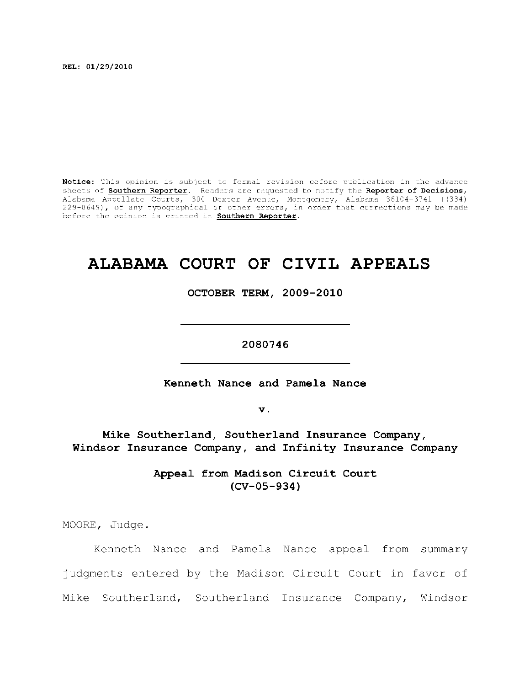**REL: 01/29/2010** 

Notice: This opinion is subject to formal revision before publication in the advance sheets of **Southern Reporter**. Readers are requested to notify the Reporter of Decisions, Alabama Appellate Courts, 300 Dexter Avenue, Montgomery, Alabama 36104-3741 ((334) ) 229–0649), of any typographical or other errors, in order that corrections may be made  $\,$ before the opinion is printed in **Southern Reporter**.

# **ALABAMA COURT OF CIVIL APPEALS**

**OCTOBER TERM, 2009-2010** 

**2080746** 

**Kenneth Nance and Pamela Nance** 

**v.** 

**Mike Southerland, Southerland Insurance Company, Windsor Insurance Company, and Infinity Insurance Company** 

> Appeal from Madison Circuit Court **(CV-05-934)**

MOORE, Judge.

Kenneth Nance and Pamela Nance appeal from summary judgments entered by the Madison Circuit Court in favor of Mike Southerland, Southerland Insurance Company, Windsor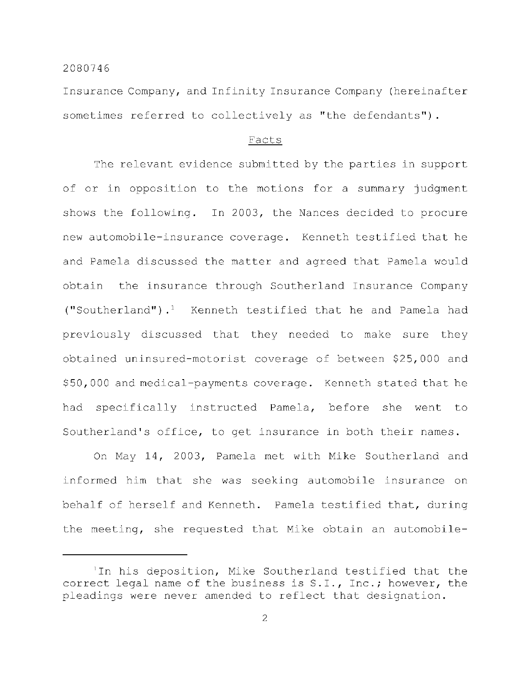Insurance Company, and Infinity Insurance Company (hereinafter sometimes referred to collectively as "the defendants").

## Facts

The relevant evidence submitted by the parties in support of or in opposition to the motions for a summary judgment shows the following. In 2003, the Nances decided to procure new automobile-insurance coverage. Kenneth testified that he and Pamela discussed the matter and agreed that Pamela would obtain the insurance through Southerland Insurance Company ("Southerland"). $<sup>1</sup>$  Kenneth testified that he and Pamela had</sup> previously discussed that they needed to make sure they obtained uninsured-motorist coverage of between \$25,000 and \$50,000 and medical-payments coverage. Kenneth stated that he had specifically instructed Pamela, before she went to Southerland's office, to get insurance in both their names.

On May 14, 2003, Pamela met with Mike Southerland and informed him that she was seeking automobile insurance on behalf of herself and Kenneth. Pamela testified that, during the meeting, she requested that Mike obtain an automobile-

<sup>&#</sup>x27;In his deposition, Mike Southerland testified that the correct legal name of the business is S.I., Inc.; however, the pleadings were never amended to reflect that designation.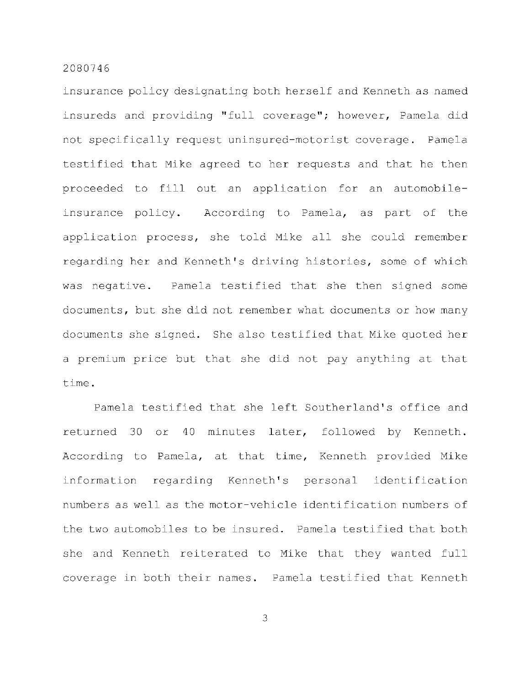insurance policy designating both herself and Kenneth as named insureds and providing "full coverage"; however, Pamela did not specifically request uninsured-motorist coverage. Pamela testified that Mike agreed to her requests and that he then proceeded to fill out an application for an automobileinsurance policy. According to Pamela, as part of the application process, she told Mike all she could remember regarding her and Kenneth's driving histories, some of which was negative. Pamela testified that she then signed some documents, but she did not remember what documents or how many documents she signed. She also testified that Mike quoted her a premium price but that she did not pay anything at that time .

Pamela testified that she left Southerland's office and returned 30 or 40 minutes later, followed by Kenneth. According to Pamela, at that time, Kenneth provided Mike information regarding Kenneth's personal identification numbers as well as the motor-vehicle identification numbers of the two automobiles to be insured. Pamela testified that both she and Kenneth reiterated to Mike that they wanted full coverage in both their names. Pamela testified that Kenneth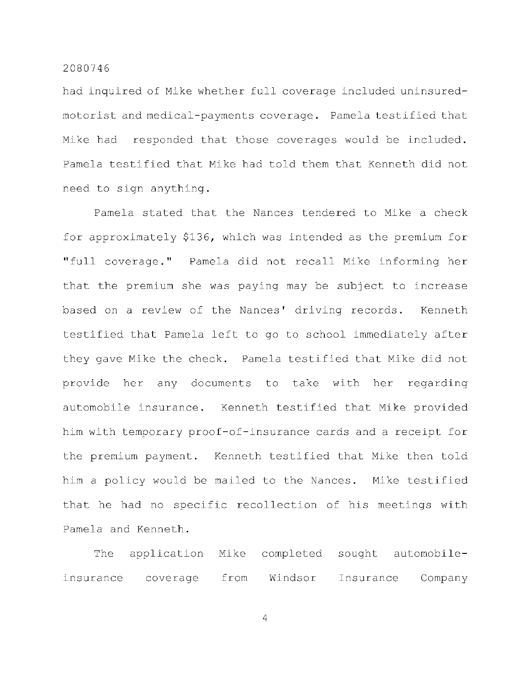had inquired of Mike whether full coverage included uninsuredmotorist and medical-payments coverage. Pamela testified that Mike had responded that those coverages would be included. Pamela testified that Mike had told them that Kenneth did not need to sign anything.

Pamela stated that the Nances tendered to Mike a check for approximately \$136, which was intended as the premium for "full coverage." Pamela did not recall Mike informing her that the premium she was paying may be subject to increase based on a review of the Nances' driving records. Kenneth testified that Pamela left to go to school immediately after they gave Mike the check. Pamela testified that Mike did not provide her any documents to take with her regarding automobile insurance. Kenneth testified that Mike provided him with temporary proof-of-insurance cards and a receipt for the premium payment. Kenneth testified that Mike then told him a policy would be mailed to the Nances. Mike testified that he had no specific recollection of his meetings with Pamela and Kenneth.

The application Mike completed sought automobileinsurance coverage from Windsor Insurance Company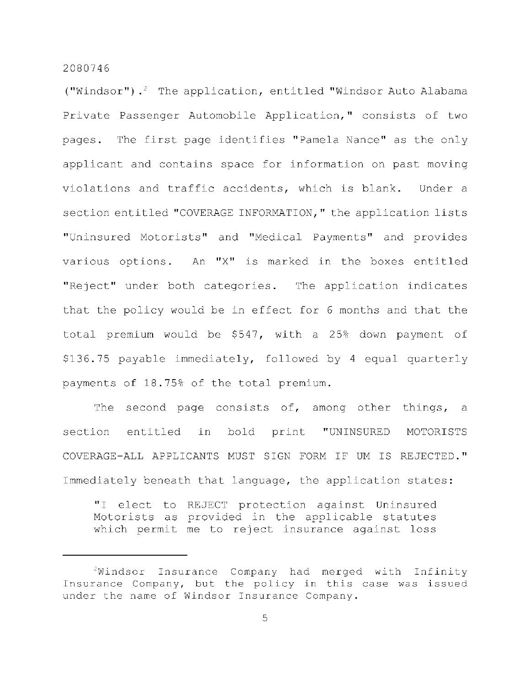("Windsor").<sup>2</sup> The application, entitled "Windsor Auto Alabama Private Passenger Automobile Application," consists of two pages. The first page identifies "Pamela Nance" as the only applicant and contains space for information on past moving violations and traffic accidents, which is blank. Under a section entitled "COVERAGE INFORMATION," the application lists "Uninsured Motorists" and "Medical Payments" and provides various options. An "X" is marked in the boxes entitled "Reject" under both categories. The application indicates that the policy would be in effect for 6 months and that the total premium would be  $$547$ , with a 25% down payment of \$136.75 payable immediately, followed by 4 equal quarterly payments of 18.75% of the total premium.

The second page consists of, among other things, a section entitled in bold print "UNINSURED MOTORISTS COVERAGE-ALL APPLICANTS MUST SIGN FORM IF UM IS REJECTED." Immediately beneath that language, the application states:

"I elect to REJECT protection against Uninsured Motorists as provided in the applicable statutes which permit me to reject insurance against loss

 $2$ Windsor Insurance Company had merged with Infinity Insurance Company, but the policy in this case was issued under the name of Windsor Insurance Company.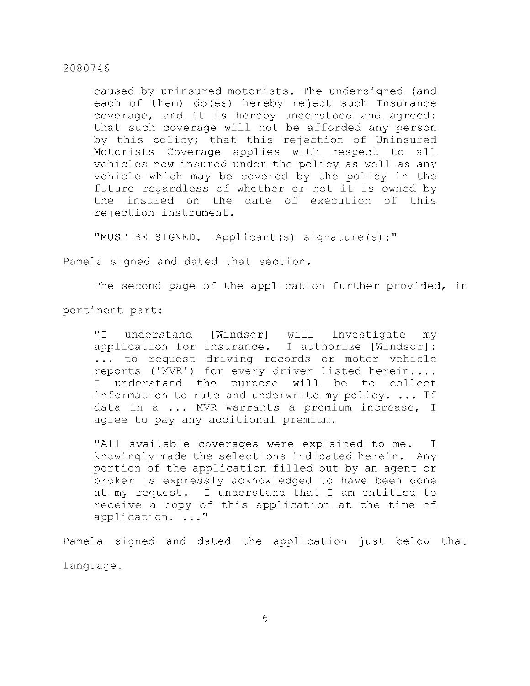caused by uninsured motorists. The undersigned (and each of them) do(es) hereby reject such Insurance coverage, and it is hereby understood and agreed: that such coverage will not be afforded any person by this policy; that this rejection of Uninsured Motorists Coverage applies with respect to all vehicles now insured under the policy as well as any vehicle which may be covered by the policy in the future regardless of whether or not it is owned by the insured on the date of execution of this rejection instrument.

"MUST BE SIGNED. Applicant(s) signature(s):"

Pamela signed and dated that section.

The second page of the application further provided, in

pertinent part:

"I understand [Windsor] will investigate my application for insurance. I authorize [Windsor]: ... to request driving records or motor vehicle reports ('MVR') for every driver listed herein.... I understand the purpose will be to collect information to rate and underwrite my policy.  $\ldots$  If data in a  $\ldots$  MVR warrants a premium increase, I agree to pay any additional premium.

"All available coverages were explained to me. I knowingly made the selections indicated herein. Any portion of the application filled out by an agent or broker is expressly acknowledged to have been done at my request. I understand that I am entitled to receive a copy of this application at the time of application. ..."

Pamela signed and dated the application just below that language .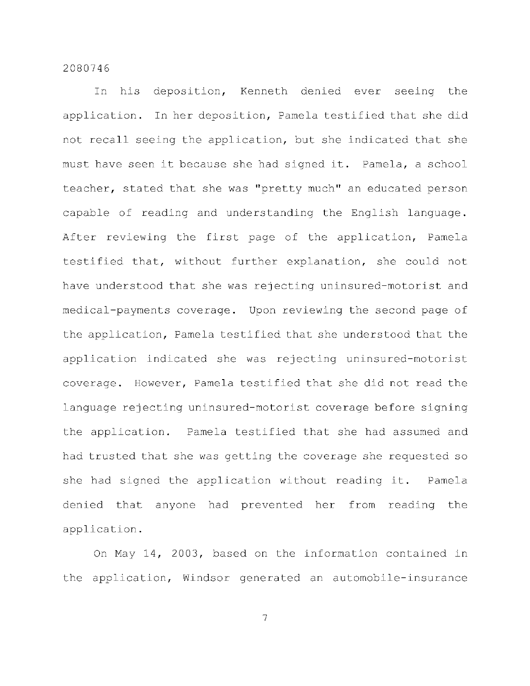In his deposition, Kenneth denied ever seeing the application. In her deposition, Pamela testified that she did not recall seeing the application, but she indicated that she must have seen it because she had signed it. Pamela, a school teacher, stated that she was "pretty much" an educated person capable of reading and understanding the English language. After reviewing the first page of the application, Pamela testified that, without further explanation, she could not have understood that she was rejecting uninsured-motorist and medical-payments coverage. Upon reviewing the second page of the application, Pamela testified that she understood that the application indicated she was rejecting uninsured-motorist coverage. However, Pamela testified that she did not read the language rejecting uninsured-motorist coverage before signing the application. Pamela testified that she had assumed and had trusted that she was getting the coverage she requested so she had signed the application without reading it. Pamela denied that anyone had prevented her from reading the application .

On May 14, 2003, based on the information contained in the application, Windsor generated an automobile-insurance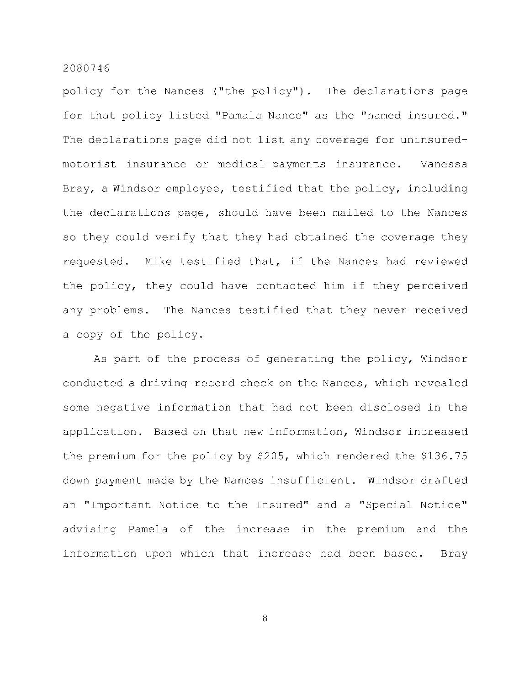policy for the Nances ("the policy"). The declarations page for that policy listed "Pamala Nance" as the "named insured." The declarations page did not list any coverage for uninsuredmotorist insurance or medical-payments insurance. Vanessa Bray, a Windsor employee, testified that the policy, including the declarations page, should have been mailed to the Nances so they could verify that they had obtained the coverage they requested. Mike testified that, if the Nances had reviewed the policy, they could have contacted him if they perceived any problems. The Nances testified that they never received a copy of the policy.

As part of the process of generating the policy, Windsor conducted a driving-record check on the Nances, which revealed some negative information that had not been disclosed in the application. Based on that new information, Windsor increased the premium for the policy by \$205, which rendered the \$136.75 down payment made by the Nances insufficient. Windsor drafted an "Important Notice to the Insured" and a "Special Notice" advising Pamela of the increase in the premium and the information upon which that increase had been based. Bray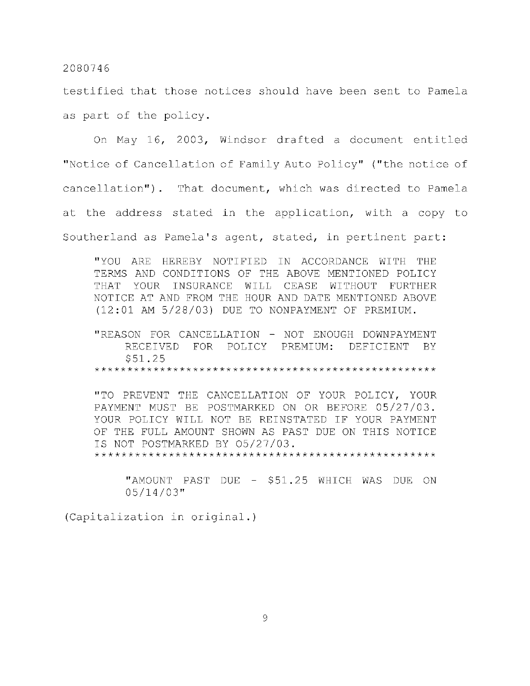testified that those notices should have been sent to Pamela as part of the policy.

On May 16, 2003, Windsor drafted a document entitled "Notice of Cancellation of Family Auto Policy" ("the notice of cancellation"). That document, which was directed to Pamela at the address stated in the application, with a copy to Southerland as Pamela's agent, stated, in pertinent part:

"YOU ARE HEREBY NOTIFIED IN ACCORDANCE WITH THE TERMS AND CONDITIONS OF THE ABOVE MENTIONED POLICY THAT YOUR INSURANCE WILL CEASE WITHOUT FURTHER NOTICE AT AND FROM THE HOUR AND DATE MENTIONED ABOVE (12:01 AM 5/28/03) DUE TO NONPAYMENT OF PREMIUM.

"REASON FOR CANCELLATION - NOT ENOUGH DOWNPAYMENT RECEIVED FOR POLICY PREMIUM: DEFICIENT BY  $$51.25$ \$51.25

"TO PREVENT THE CANCELLATION OF YOUR POLICY, YOUR PAYMENT MUST BE POSTMARKED ON OR BEFORE 05/27/03. YOUR POLICY WILL NOT BE REINSTATED IF YOUR PAYMENT<br>OF THE FULL AMOUNT SHOWN AS PAST DUE ON THIS NOTICE IS NOT POSTMARKED BY 05/27/03. YOUR POLICY WILL NOT BE REINSTATED I F YOUR PAYMENT

OF THE FULL AMOUNT SHOWN AS PASSAGE AND A PASSAGE AND A PASSAGE.

"AMOUNT PAST DUE - \$51.25 WHICH WAS DUE ON  $05/14/03$ "  $\bigcup \bigcup \{1,4\} \bigcup \bigcup$ 

05/14/03" (Capitalizatio n i n original. )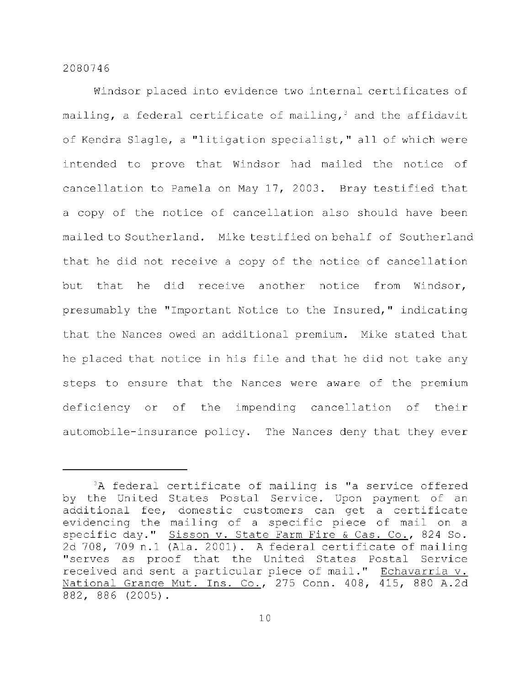Windsor placed into evidence two internal certificates of mailing, a federal certificate of mailing,<sup>3</sup> and the affidavit of Kendra Slagle, a "litigation specialist," all of which were intended to prove that Windsor had mailed the notice of cancellation to Pamela on May 17, 2003. Bray testified that a copy of the notice of cancellation also should have been mailed to Southerland. Mike testified on behalf of Southerland that he did not receive a copy of the notice of cancellation but that he did receive another notice from Windsor, presumably the "Important Notice to the Insured," indicating that the Nances owed an additional premium. Mike stated that he placed that notice in his file and that he did not take any steps to ensure that the Nances were aware of the premium deficiency or of the impending cancellation of their automobile-insurance policy. The Nances deny that they ever

 $3A$  federal certificate of mailing is "a service offered by the United States Postal Service. Upon payment of an additional fee, domestic customers can get a certificate evidencing the mailing of a specific piece of mail on a specific day." Sisson v. State Farm Fire & Cas. Co., 824 So. 2d 708, 709 n.1 (Ala. 2001). A federal certificate of mailing "serves as proof that the United States Postal Service received and sent a particular piece of mail." Echavarria v. National Grange Mut. Ins. Co., 275 Conn. 408, 415, 880 A.2d 882, 886 (2005).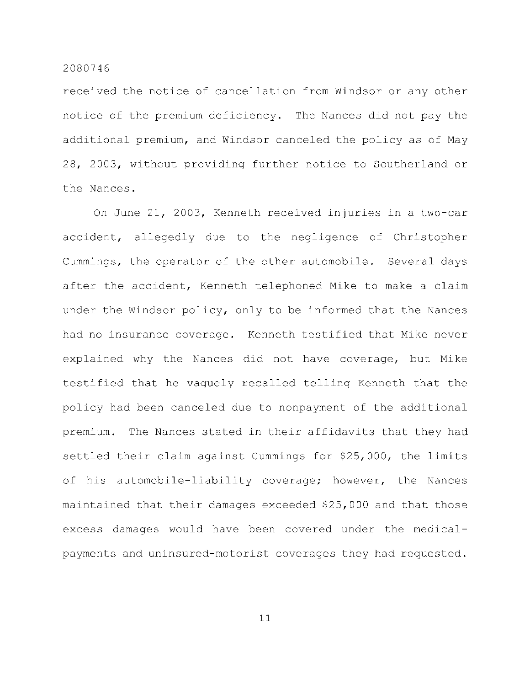received the notice of cancellation from Windsor or any other notice of the premium deficiency. The Nances did not pay the additional premium, and Windsor canceled the policy as of May 28, 2003, without providing further notice to Southerland or the Nances.

On June 21, 2003, Kenneth received injuries in a two-car accident, allegedly due to the negligence of Christopher Cummings, the operator of the other automobile. Several days after the accident, Kenneth telephoned Mike to make a claim under the Windsor policy, only to be informed that the Nances had no insurance coverage. Kenneth testified that Mike never explained why the Nances did not have coverage, but Mike testified that he vaguely recalled telling Kenneth that the policy had been canceled due to nonpayment of the additional premium. The Nances stated in their affidavits that they had settled their claim against Cummings for \$25,000, the limits of his automobile-liability coverage; however, the Nances maintained that their damages exceeded \$25,000 and that those excess damages would have been covered under the medicalpayments and uninsured-motorist coverages they had requested.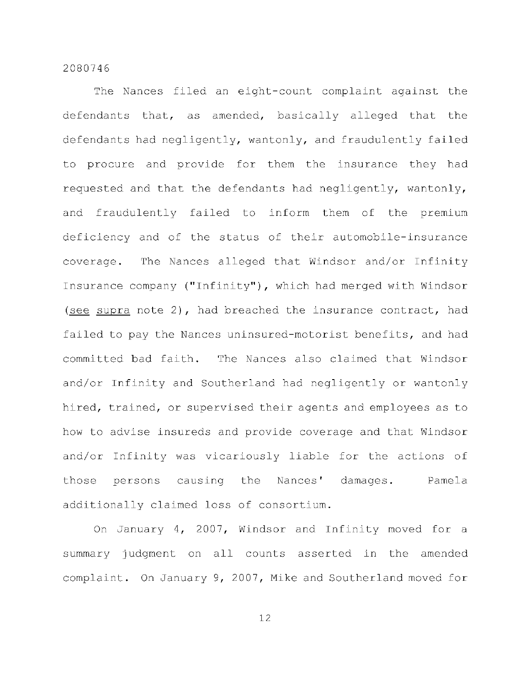The Nances filed an eight-count complaint against the defendants that, as amended, basically alleged that the defendants had negligently, wantonly, and fraudulently failed to procure and provide for them the insurance they had requested and that the defendants had negligently, wantonly, and fraudulently failed to inform them of the premium deficiency and of the status of their automobile-insurance coverage. The Nances alleged that Windsor and/or Infinity Insurance company ("Infinity"), which had merged with Windsor (see supra note 2), had breached the insurance contract, had failed to pay the Nances uninsured-motorist benefits, and had committed bad faith. The Nances also claimed that Windsor and/or Infinity and Southerland had negligently or wantonly hired, trained, or supervised their agents and employees as to how to advise insureds and provide coverage and that Windsor and/or Infinity was vicariously liable for the actions of those persons causing the Nances' damages. Pamela additionally claimed loss of consortium.

On January 4, 2007, Windsor and Infinity moved for a summary judgment on all counts asserted in the amended complaint. On January 9, 2007, Mike and Southerland moved for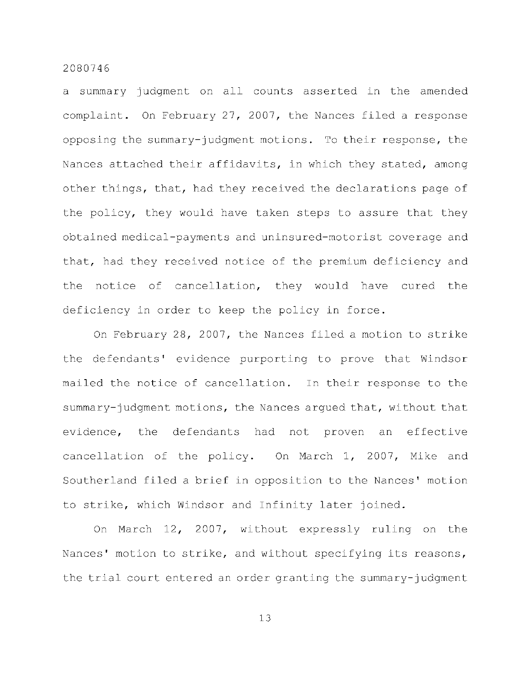a summary judgment on all counts asserted in the amended complaint. On February 27, 2007, the Nances filed a response opposing the summary-judgment motions. To their response, the Nances attached their affidavits, in which they stated, among other things, that, had they received the declarations page of the policy, they would have taken steps to assure that they obtained medical-payments and uninsured-motorist coverage and that, had they received notice of the premium deficiency and the notice of cancellation, they would have cured the deficiency in order to keep the policy in force.

On February 28, 2007, the Nances filed a motion to strike the defendants' evidence purporting to prove that Windsor mailed the notice of cancellation. In their response to the summary-judgment motions, the Nances argued that, without that evidence, the defendants had not proven an effective cancellation of the policy. On March 1, 2007, Mike and Southerland filed a brief in opposition to the Nances' motion to strike, which Windsor and Infinity later joined.

On March 12, 2007, without expressly ruling on the Nances' motion to strike, and without specifying its reasons, the trial court entered an order granting the summary-judgment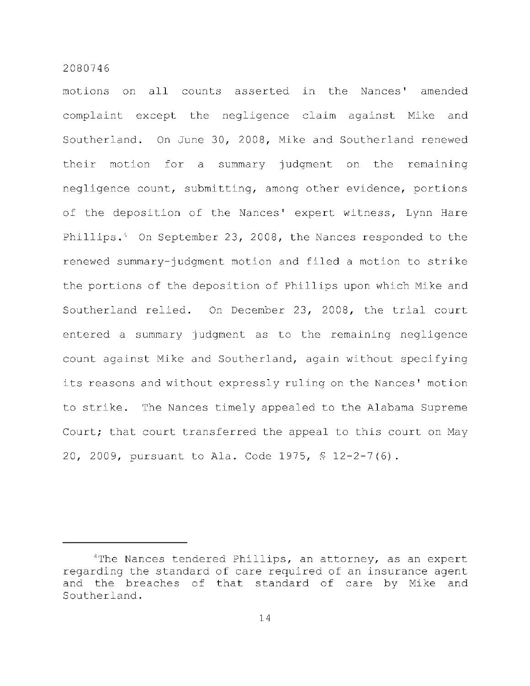motions on all counts asserted in the Nances' amended complaint except the negligence claim against Mike and Southerland. On June 30, 2008, Mike and Southerland renewed their motion for a summary judgment on the remaining negligence count, submitting, among other evidence, portions of the deposition of the Nances' expert witness, Lynn Hare Phillips. $4$  On September 23, 2008, the Nances responded to the renewed summary-judgment motion and filed a motion to strike the portions of the deposition of Phillips upon which Mike and Southerland relied. On December 23, 2008, the trial court entered a summary judgment as to the remaining negligence count against Mike and Southerland, again without specifying its reasons and without expressly ruling on the Nances' motion to strike. The Nances timely appealed to the Alabama Supreme Court; that court transferred the appeal to this court on May 20, 2009, pursuant to Ala. Code 1975, \$ 12-2-7(6).

<sup>&</sup>lt;sup>4</sup>The Nances tendered Phillips, an attorney, as an expert regarding the standard of care required of an insurance agent and the breaches of that standard of care by Mike and Southerland .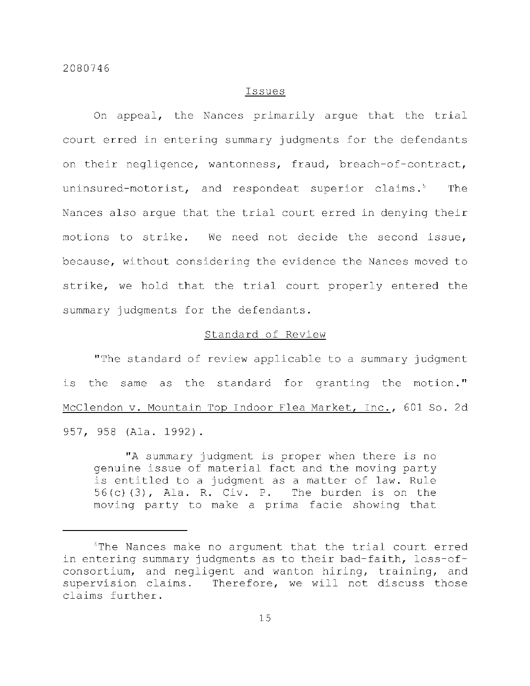#### Issue s

On appeal, the Nances primarily arque that the trial court erred in entering summary judgments for the defendants on their negligence, wantonness, fraud, breach-of-contract, uninsured-motorist, and respondeat superior claims.<sup>5</sup> The Nances also arque that the trial court erred in denying their motions to strike. We need not decide the second issue, because, without considering the evidence the Nances moved to strike, we hold that the trial court properly entered the summary judgments for the defendants.

# Standard of Review

"The standard of review applicable to a summary judgment is the same as the standard for granting the motion." McClendon v. Mountain Top Indoor Flea Market, Inc., 601 So. 2d 957, 958 (Ala. 1992).

"A summary judgment is proper when there is no genuine issue of material fact and the moving party is entitled to a judgment as a matter of law. Rule  $56(c)$  (3), Ala. R. Civ. P. The burden is on the moving party to make a prima facie showing that

<sup>&</sup>lt;sup>5</sup>The Nances make no argument that the trial court erred in entering summary judgments as to their bad-faith, loss-ofconsortium, and negligent and wanton hiring, training, and supervision claims. Therefore, we will not discuss those claims further.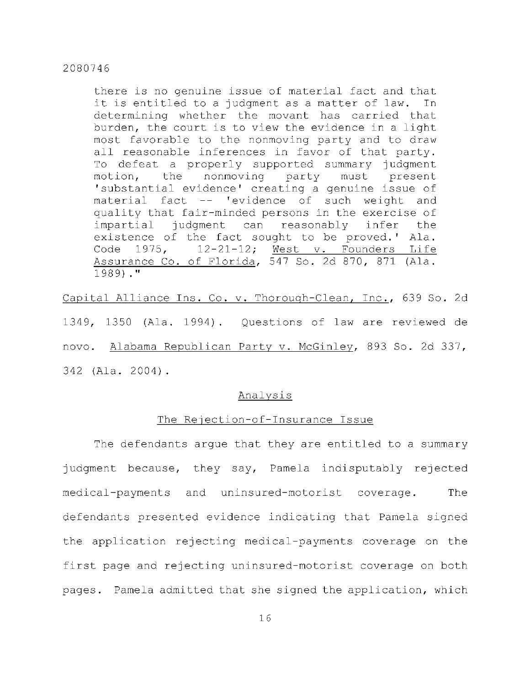there is no genuine issue of material fact and that it is entitled to a judgment as a matter of law. In determining whether the movant has carried that burden, the court is to view the evidence in a light most favorable to the nonmoving party and to draw all reasonable inferences in favor of that party. To defeat a properly supported summary judgment motion, the nonmoving party must present 'substantial evidence' creating a genuine issue of material fact -- 'evidence of such weight and quality that fair-minded persons in the exercise of impartial judgment can reasonably infer the existence of the fact sought to be proved.' Ala. Code  $1975$ ,  $12-21-12$ ; West v. Founders Life Assurance Co. of Florida, 547 So. 2d 870, 871 (Ala. 1989)."

Capital Alliance Ins. Co. v. Thorough-Clean, Inc., 639 So. 2d 1349, 1350 (Ala. 1994). Questions of law are reviewed de novo. Alabama Republican Party v. McGinley, 893 So. 2d 337, 342 (Ala. 2004).

## Analysi s

# The Rejection-of-Insurance Issue

The defendants arque that they are entitled to a summary judgment because, they say, Pamela indisputably rejected medical-payments and uninsured-motorist coverage. The defendants presented evidence indicating that Pamela signed the application rejecting medical-payments coverage on the first page and rejecting uninsured-motorist coverage on both pages. Pamela admitted that she signed the application, which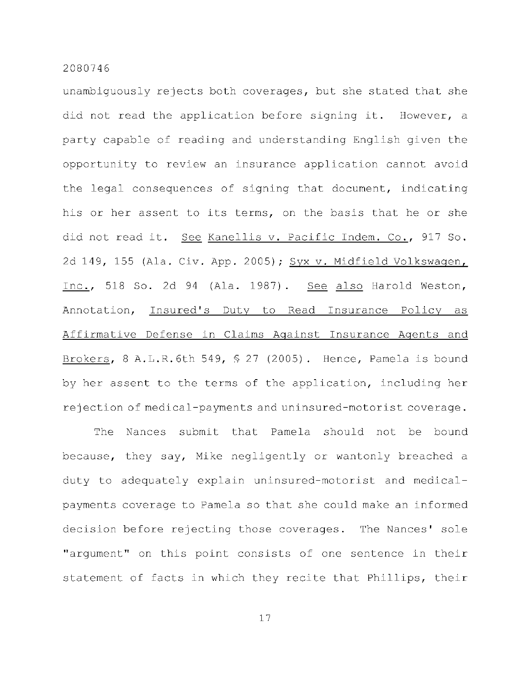unambiguously rejects both coverages, but she stated that she did not read the application before signing it. However, a party capable of reading and understanding English given the opportunity to review an insurance application cannot avoid the legal consequences of signing that document, indicating his or her assent to its terms, on the basis that he or she did not read it. See Kanellis v. Pacific Indem. Co., 917 So. 2d 149, 155 (Ala. Civ. App. 2005); Syx v. Midfield Volkswagen, Inc., 518 So. 2d 94 (Ala. 1987). See also Harold Weston, Annotation, Insured's Duty to Read Insurance Policy as Affirmative Defense in Claims Against Insurance Agents and Brokers, 8 A.L.R.6th 549,  $$27$  (2005). Hence, Pamela is bound by her assent to the terms of the application, including her rejection of medical-payments and uninsured-motorist coverage.

The Nances submit that Pamela should not be bound because, they say, Mike negligently or wantonly breached a duty to adequately explain uninsured-motorist and medicalpayments coverage to Pamela so that she could make an informed decision before rejecting those coverages. The Nances' sole "argument" on this point consists of one sentence in their statement of facts in which they recite that Phillips, their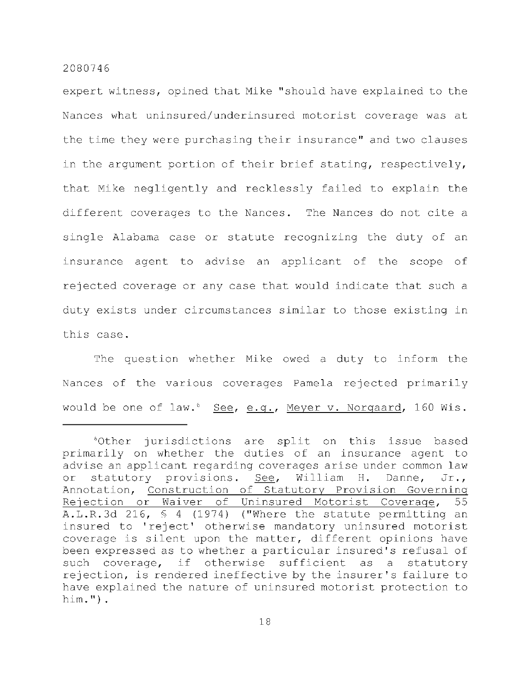expert witness, opined that Mike "should have explained to the Nances what uninsured/underinsured motorist coverage was at the time they were purchasing their insurance" and two clauses in the argument portion of their brief stating, respectively, that Mike negligently and recklessly failed to explain the different coverages to the Nances. The Nances do not cite a single Alabama case or statute recognizing the duty of an insurance agent to advise an applicant of the scope of rejected coverage or any case that would indicate that such a duty exists under circumstances similar to those existing in this case.

The question whether Mike owed a duty to inform the Nances of the various coverages Pamela rejected primarily would be one of law.<sup>6</sup> See, e.g., Meyer v. Norgaard, 160 Wis.

 $60$ ther jurisdictions are split on this issue based primarily on whether the duties of an insurance agent to advise an applicant regarding coverages arise under common law or statutory provisions. See, William H. Danne, Jr., Annotation, Construction of Statutory Provision Governing Rejection or Waiver of Uninsured Motorist Coverage, 55 A.L.R.3d 216,  $\frac{1}{2}$  4 (1974) ("Where the statute permitting an insured to 'reject' otherwise mandatory uninsured motorist coverage is silent upon the matter, different opinions have been expressed as to whether a particular insured's refusal of such coverage, if otherwise sufficient as a statutory rejection, is rendered ineffective by the insurer's failure to have explained the nature of uninsured motorist protection to him.") .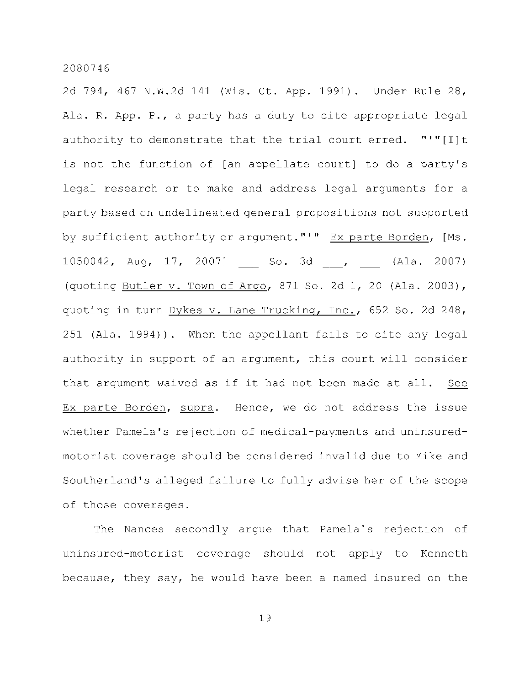2d 794, 467 N.W.2d 141 (Wis. Ct. App. 1991). Under Rule 28, Ala. R. App. P., a party has a duty to cite appropriate legal authority to demonstrate that the trial court erred. "'" $[I]$ t is not the function of [an appellate court] to do a party's legal research or to make and address legal arguments for a party based on undelineated general propositions not supported by sufficient authority or argument."'" Ex parte Borden, [Ms. 1050042, Aug, 17, 2007] So. 3d , (Ala. 2007) (quoting Butler v. Town of Argo, 871 So. 2d 1, 20 (Ala. 2003), quoting in turn Dykes v. Lane Trucking, Inc., 652 So. 2d 248, 251 (Ala. 1994)). When the appellant fails to cite any legal authority in support of an argument, this court will consider that argument waived as if it had not been made at all. See Ex parte Borden, supra. Hence, we do not address the issue whether Pamela's rejection of medical-payments and uninsuredmotorist coverage should be considered invalid due to Mike and Southerland's alleged failure to fully advise her of the scope of those coverages.

The Nances secondly argue that Pamela's rejection of uninsured-motorist coverage should not apply to Kenneth because, they say, he would have been a named insured on the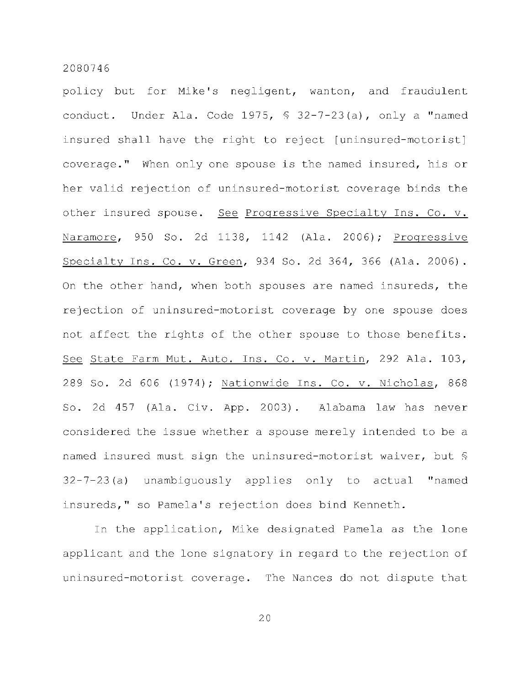policy but for Mike's negligent, wanton, and fraudulent conduct. Under Ala. Code 1975,  $$ 32-7-23(a)$ , only a "named insured shall have the right to reject [uninsured-motorist] coverage." When only one spouse is the named insured, his or her valid rejection of uninsured-motorist coverage binds the other insured spouse. See Progressive Specialty Ins. Co. v. Naramore, 950 So. 2d 1138, 1142 (Ala. 2006); Progressive Specialty Ins. Co. v. Green, 934 So. 2d 364, 366 (Ala. 2006). On the other hand, when both spouses are named insureds, the rejection of uninsured-motorist coverage by one spouse does not affect the rights of the other spouse to those benefits. See State Farm Mut. Auto. Ins. Co. v. Martin, 292 Ala. 103, 289 So. 2d 606 (1974); Nationwide Ins. Co. v. Nicholas, 868 So. 2d 457 (Ala. Civ. App. 2003). Alabama law has never considered the issue whether a spouse merely intended to be a named insured must sign the uninsured-motorist waiver, but  $\frac{1}{2}$  $32-7-23$  (a) unambiguously applies only to actual "named insureds," so Pamela's rejection does bind Kenneth.

In the application, Mike designated Pamela as the lone applicant and the lone signatory in regard to the rejection of uninsured-motorist coverage. The Nances do not dispute that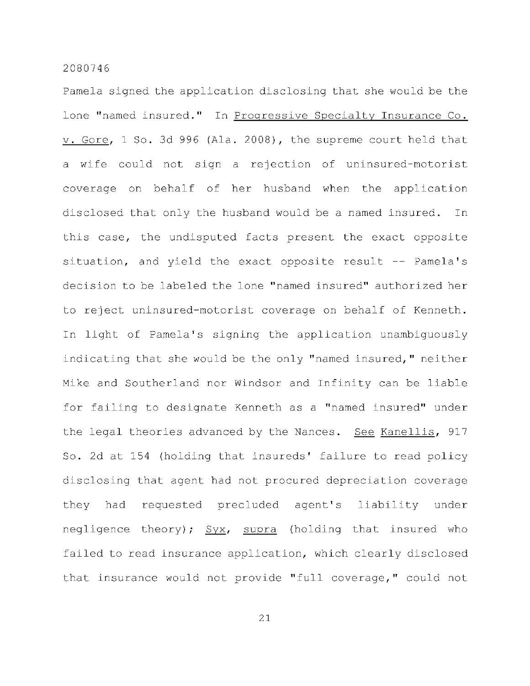Pamela signed the application disclosing that she would be the lone "named insured." In Progressive Specialty Insurance Co.  $v.$  Gore, 1 So. 3d 996 (Ala. 2008), the supreme court held that a wife could not sign a rejection of uninsured-motorist coverage on behalf of her husband when the application disclosed that only the husband would be a named insured. In this case, the undisputed facts present the exact opposite situation, and yield the exact opposite result -- Pamela's decision to be labeled the lone "named insured" authorized her to reject uninsured-motorist coverage on behalf of Kenneth. In light of Pamela's signing the application unambiguously indicating that she would be the only "named insured," neither Mike and Southerland nor Windsor and Infinity can be liable for failing to designate Kenneth as a "named insured" under the legal theories advanced by the Nances. See Kanellis, 917 So. 2d at 154 (holding that insureds' failure to read policy disclosing that agent had not procured depreciation coverage they had requested precluded agent's liability under negligence theory);  $Syx$ , supra (holding that insured who failed to read insurance application, which clearly disclosed that insurance would not provide "full coverage," could not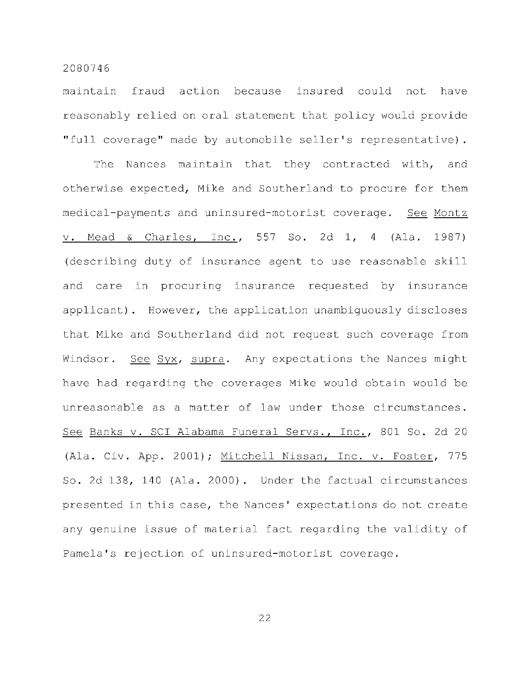maintain fraud action because insured could not have reasonably relied on oral statement that policy would provide "full coverage" made by automobile seller's representative).

The Nances maintain that they contracted with, and otherwise expected, Mike and Southerland to procure for them medical-payments and uninsured-motorist coverage. See Montz v. Mead & Charles, Inc., 557 So. 2d 1, 4 (Ala. 1987) (describing duty of insurance agent to use reasonable skill and care in procuring insurance requested by insurance applicant). However, the application unambiguously discloses that Mike and Southerland did not request such coverage from Windsor. See Syx, supra. Any expectations the Nances might have had regarding the coverages Mike would obtain would be unreasonable as a matter of law under those circumstances. See Banks v. SCI Alabama Funeral Servs., Inc., 801 So. 2d 20 (Ala. Civ. App. 2001); Mitchell Nissan, Inc. v. Foster, 775 So. 2d 138, 140 (Ala. 2000). Under the factual circumstances presented in this case, the Nances' expectations do not create any genuine issue of material fact regarding the validity of Pamela's rejection of uninsured-motorist coverage.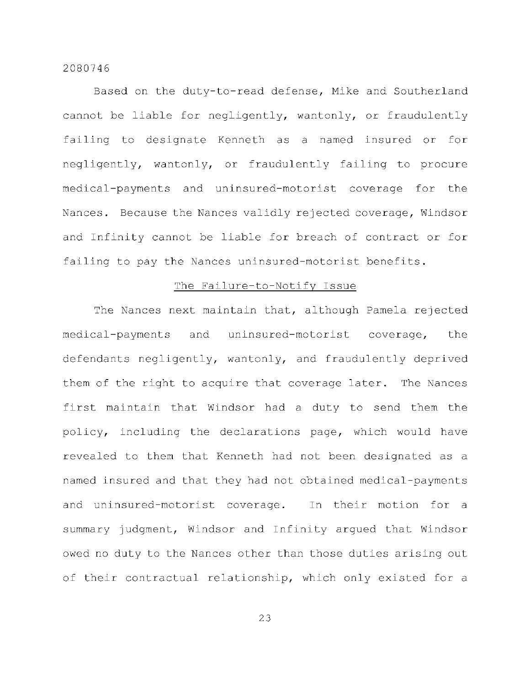Based on the duty-to-read defense, Mike and Southerland cannot be liable for negligently, wantonly, or fraudulently failing to designate Kenneth as a named insured or for negligently, wantonly, or fraudulently failing to procure medical-payments and uninsured-motorist coverage for the Nances. Because the Nances validly rejected coverage, Windsor and Infinity cannot be liable for breach of contract or for failing to pay the Nances uninsured-motorist benefits.

#### The Failure-to-Notify Issue

The Nances next maintain that, although Pamela rejected medical-payments and uninsured-motorist coverage, the defendants negligently, wantonly, and fraudulently deprived them of the right to acquire that coverage later. The Nances first maintain that Windsor had a duty to send them the policy, including the declarations page, which would have revealed to them that Kenneth had not been designated as a named insured and that they had not obtained medical-payments and uninsured-motorist coverage. In their motion for a summary judgment, Windsor and Infinity argued that Windsor owed no duty to the Nances other than those duties arising out of their contractual relationship, which only existed for a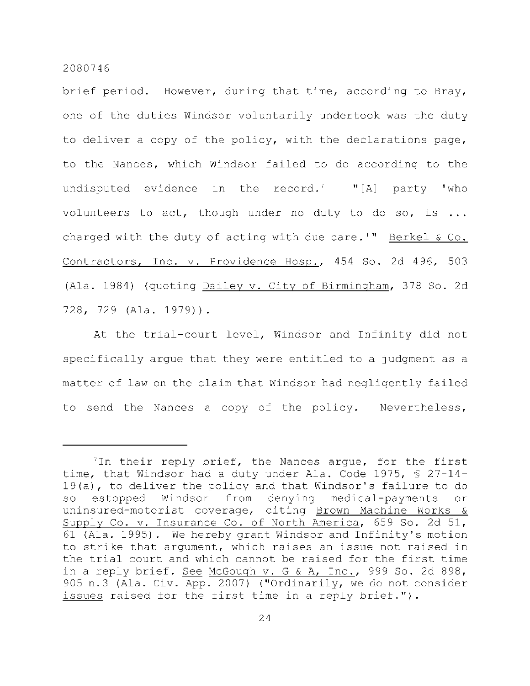brief period. However, during that time, according to Bray, one of the duties Windsor voluntarily undertook was the duty to deliver a copy of the policy, with the declarations page, to the Nances, which Windsor failed to do according to the undisputed evidence in the record.  $"$  "[A] party 'who volunteers to act, though under no duty to do so, is  $\ldots$ charged with the duty of acting with due care.'" Berkel  $\&$  Co. Contractors, Inc. v. Providence Hosp., 454 So. 2d 496, 503 (Ala. 1984) (quoting Dailey v. City of Birmingham, 378 So. 2d 728, 729 (Ala. 1979)).

At the trial-court level, Windsor and Infinity did not specifically argue that they were entitled to a judgment as a matter of law on the claim that Windsor had negligently failed to send the Nances a copy of the policy. Nevertheless,

 $7$ In their reply brief, the Nances argue, for the first time, that Windsor had a duty under Ala. Code 1975,  $\S$  27-14- $19(a)$ , to deliver the policy and that Windsor's failure to do so estopped Windsor from denying medical-payments or uninsured-motorist coverage, citing Brown Machine Works & Supply Co. v. Insurance Co. of North America, 659 So. 2d 51, 61 (Ala. 1995). We hereby grant Windsor and Infinity's motion to strike that argument, which raises an issue not raised in the trial court and which cannot be raised for the first time in a reply brief. See McGough  $v. G & A$ , Inc., 999 So. 2d 898, 905 n.3 (Ala. Civ. App. 2007) ("Ordinarily, we do not consider issues raised for the first time in a reply brief.").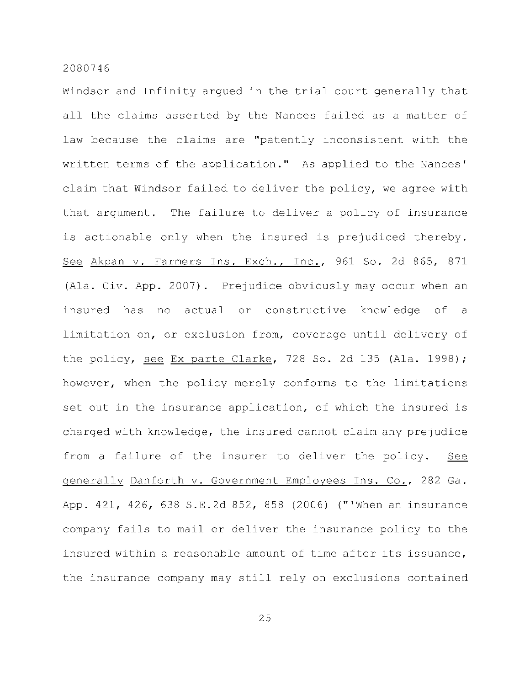Windsor and Infinity arqued in the trial court generally that all the claims asserted by the Nances failed as a matter of law because the claims are "patently inconsistent with the written terms of the application." As applied to the Nances' claim that Windsor failed to deliver the policy, we agree with that argument. The failure to deliver a policy of insurance is actionable only when the insured is prejudiced thereby. See Akpan v. Farmers Ins. Exch., Inc., 961 So. 2d 865, 871 (Ala. Civ. App. 2007). Prejudice obviously may occur when an insured has no actual or constructive knowledge of a limitation on, or exclusion from, coverage until delivery of the policy, see Ex parte Clarke, 728 So. 2d 135 (Ala. 1998); however, when the policy merely conforms to the limitations set out in the insurance application, of which the insured is charged with knowledge, the insured cannot claim any prejudice from a failure of the insurer to deliver the policy. See generally Danforth v. Government Employees Ins. Co., 282 Ga. App. 421, 426, 638 S.E.2d 852, 858 (2006) ("'When an insurance company fails to mail or deliver the insurance policy to the insured within a reasonable amount of time after its issuance, the insurance company may still rely on exclusions contained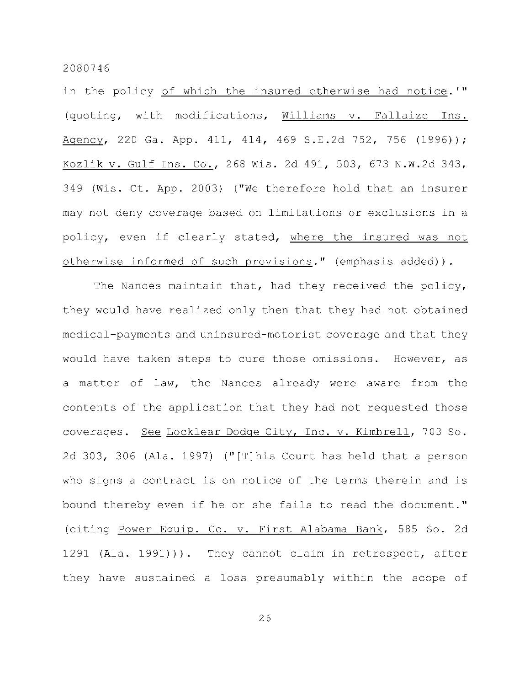in the policy of which the insured otherwise had notice.'" (quoting, with modifications, Williams v. Fallaize Ins. Agency, 220 Ga. App. 411, 414, 469 S.E.2d 752, 756 (1996)) ; Kozlik v. Gulf Ins. Co., 268 Wis. 2d 491, 503, 673 N.W.2d 343, 349 (Wis. Ct. App. 2003) ("We therefore hold that an insurer may not deny coverage based on limitations or exclusions in a policy, even if clearly stated, where the insured was not otherwise informed of such provisions." (emphasis added)).

The Nances maintain that, had they received the policy, they would have realized only then that they had not obtained medical-payments and uninsured-motorist coverage and that they would have taken steps to cure those omissions. However, as a matter of law, the Nances already were aware from the contents of the application that they had not requested those coverages. See Locklear Dodge City, Inc. v. Kimbrell, 703 So. 2d 303, 306 (Ala. 1997) ("[T]his Court has held that a person who signs a contract is on notice of the terms therein and is bound thereby even if he or she fails to read the document." (citing Power Equip. Co. v. First Alabama Bank, 585 So. 2d 1291 (Ala. 1991))). They cannot claim in retrospect, after they have sustained a loss presumably within the scope of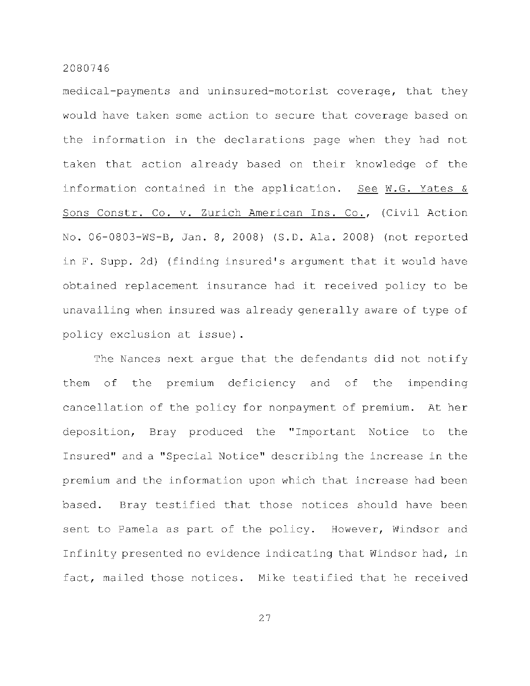medical-payments and uninsured-motorist coverage, that they would have taken some action to secure that coverage based on the information in the declarations page when they had not taken that action already based on their knowledge of the information contained in the application. See W.G. Yates  $\&$ Sons Constr. Co. v. Zurich American Ins. Co., (Civil Action No. 06-0803-WS-B, Jan. 8, 2008) (S.D. Ala. 2008) (not reported in F. Supp. 2d) (finding insured's argument that it would have obtained replacement insurance had it received policy to be unavailing when insured was already generally aware of type of policy exclusion at issue).

The Nances next arque that the defendants did not notify them of the premium deficiency and of the impending cancellation of the policy for nonpayment of premium. At her deposition, Bray produced the "Important Notice to the Insured" and a "Special Notice" describing the increase in the premium and the information upon which that increase had been based. Bray testified that those notices should have been sent to Pamela as part of the policy. However, Windsor and Infinity presented no evidence indicating that Windsor had, in fact, mailed those notices. Mike testified that he received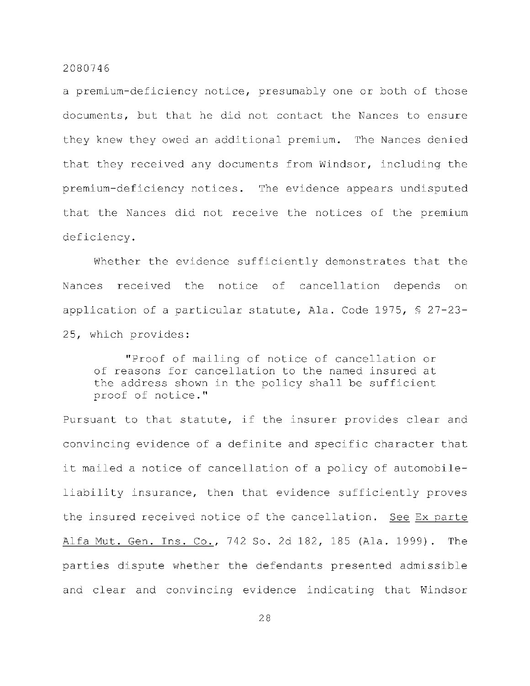a premium-deficiency notice, presumably one or both of those documents, but that he did not contact the Nances to ensure they knew they owed an additional premium. The Nances denied that they received any documents from Windsor, including the premium-deficiency notices. The evidence appears undisputed that the Nances did not receive the notices of the premium deficiency .

Whether the evidence sufficiently demonstrates that the Nances received the notice of cancellation depends on application of a particular statute, Ala. Code 1975,  $\S$  27-23-25, which provides:

"Proof of mailing of notice of cancellation or of reasons for cancellation to the named insured at the address shown in the policy shall be sufficient proof of notice."

Pursuant to that statute, if the insurer provides clear and convincing evidence of a definite and specific character that it mailed a notice of cancellation of a policy of automobileliability insurance, then that evidence sufficiently proves the insured received notice of the cancellation. See Ex parte Alfa Mut. Gen. Ins. Co., 742 So. 2d 182, 185 (Ala. 1999). The parties dispute whether the defendants presented admissible and clear and convincing evidence indicating that Windsor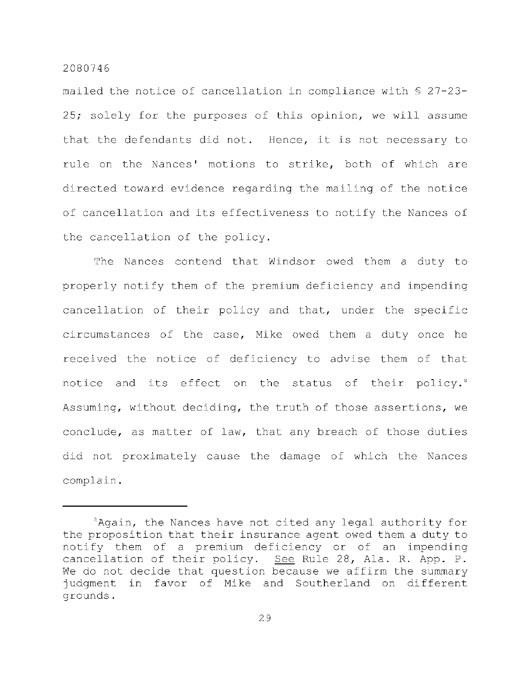mailed the notice of cancellation in compliance with  $$27-23-$ 25; solely for the purposes of this opinion, we will assume that the defendants did not. Hence, it is not necessary to rule on the Nances' motions to strike, both of which are directed toward evidence regarding the mailing of the notice of cancellation and its effectiveness to notify the Nances of the cancellation of the policy.

The Nances contend that Windsor owed them a duty to properly notify them of the premium deficiency and impending cancellation of their policy and that, under the specific circumstances of the case, Mike owed them a duty once he received the notice of deficiency to advise them of that notice and its effect on the status of their policy.<sup>8</sup> Assuming, without deciding, the truth of those assertions, we conclude, as matter of law, that any breach of those duties did not proximately cause the damage of which the Nances complain .

 ${}^{8}$ Again, the Nances have not cited any legal authority for the proposition that their insurance agent owed them a duty to notify them of a premium deficiency or of an impending cancellation of their policy. See Rule 28, Ala. R. App. P. We do not decide that question because we affirm the summary judgment in favor of Mike and Southerland on different grounds .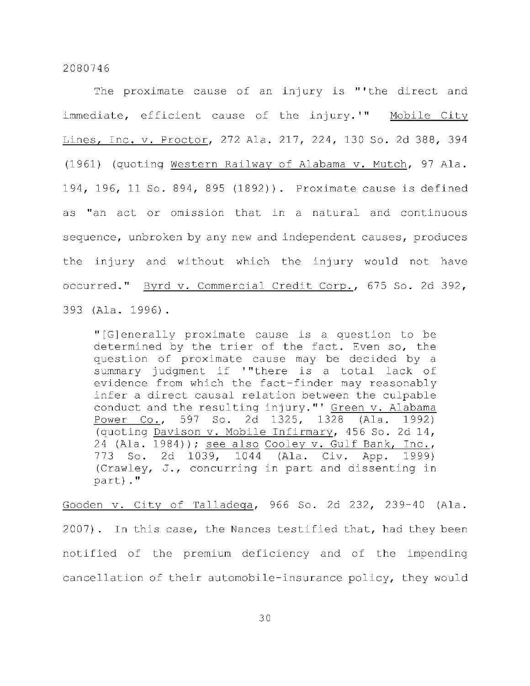The proximate cause of an injury is "'the direct and immediate, efficient cause of the injury.'" Mobile City Lines, Inc. v. Proctor, 272 Ala. 217, 224, 130 So. 2d 388, 394 (1961) (quoting Western Railway of Alabama v. Mutch, 97 Ala. 194, 196, 11 So. 894, 895 (1892)). Proximate cause is defined as "an act or omission that in a natural and continuous sequence, unbroken by any new and independent causes, produces the injury and without which the injury would not have occurred." Byrd v. Commercial Credit Corp., 675 So. 2d 392, 393 (Ala. 1996).

"[G]enerally proximate cause is a question to be determined by the trier of the fact. Even so, the question of proximate cause may be decided by a summary judgment if '"there is a total lack of evidence from which the fact-finder may reasonably infer a direct causal relation between the culpable conduct and the resulting injury."' Green v. Alabama Power Co., 597 So. 2d 1325, 1328 (Ala. 1992) (quoting Davison v. Mobile Infirmary, 456 So. 2d 14, 24 (Ala. 1984)); see also Cooley v. Gulf Bank, Inc., 773 So. 2d 1039, 1044 (Ala. Civ. App. 1999) (Crawley, J., concurring in part and dissenting in part)."

Gooden v. City of Talladega, 966 So. 2d 232, 239-40 (Ala. Gooden v. Cit y o f Talladega , 966 So. 2d 230-40 So. 2d 232, 239-40 (Ala . 2d 232, 239-40 (Ala . 2d 239-40 (A<br>Ala . 2d 239-40 (Ala . 2d 239-40 (Ala . 2d 239-40 (Ala . 2d 239-40 (Ala . 2d 239-40 (Ala . 2d 239-40 (Ala . 2d 2007). In this case, the Nances testified that, had they been notified of the premium deficiency and of the impending notifie d o f the premium deficiency and o f the premium deficiency and o f the imperium deficiency of the impe cancellation of their automobile-insurance policy, they would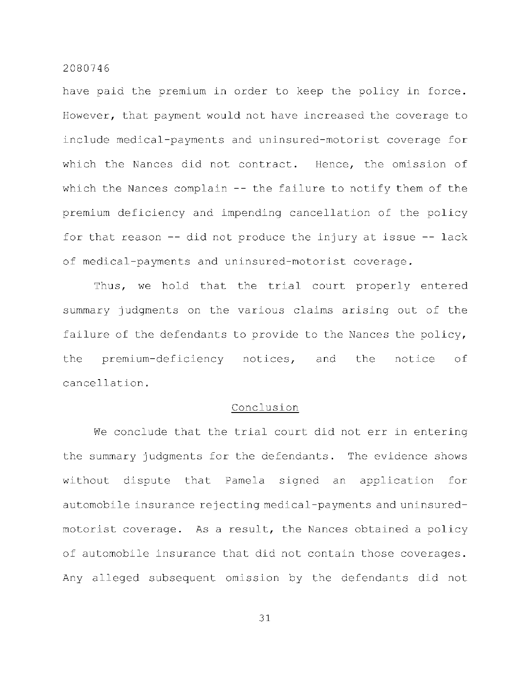have paid the premium in order to keep the policy in force. However, that payment would not have increased the coverage to include medical-payments and uninsured-motorist coverage for which the Nances did not contract. Hence, the omission of which the Nances complain  $-$  the failure to notify them of the premium deficiency and impending cancellation of the policy for that reason  $-$ - did not produce the injury at issue  $-$ - lack of medical-payments and uninsured-motorist coverage.

Thus, we hold that the trial court properly entered summary judgments on the various claims arising out of the failure of the defendants to provide to the Nances the policy, the premium-deficiency notices, and the notice of cancellation .

## Conclusion

We conclude that the trial court did not err in entering the summary judgments for the defendants. The evidence shows without dispute that Pamela signed an application for automobile insurance rejecting medical-payments and uninsuredmotorist coverage. As a result, the Nances obtained a policy of automobile insurance that did not contain those coverages. Any alleged subsequent omission by the defendants did not